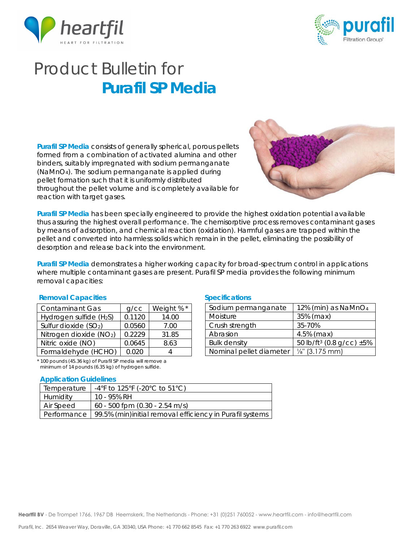



# Product Bulletin for **Purafil SP Media**

**Purafil SP Media** consists of generally spherical, porous pellets formed from a combination of activated alumina and other binders, suitably impregnated with sodium permanganate (NaMnO4). The sodium permanganate is applied during pellet formation such that it is uniformly distributed throughout the pellet volume and is completely available for reaction with target gases.



**Purafil SP Media** has been specially engineered to provide the highest oxidation potential available thus assuring the highest overall performance. The chemisorptive process removes contaminant gases by means of adsorption, and chemical reaction (oxidation). Harmful gases are trapped within the pellet and converted into harmless solids which remain in the pellet, eliminating the possibility of desorption and release back into the environment.

**Purafil SP Media** demonstrates a higher working capacity for broad-spectrum control in applications where multiple contaminant gases are present. Purafil SP media provides the following minimum removal capacities:

### **Removal Capacities Specifications**

| <b>Contaminant Gas</b>              | $q$ / $cc$ | Weight % * |
|-------------------------------------|------------|------------|
| Hydrogen sulfide (H <sub>2</sub> S) | 0.1120     | 14.00      |
| Sulfur dioxide (SO <sub>2</sub> )   | 0.0560     | 7.00       |
| Nitrogen dioxide (NO2)              | 0.2229     | 31.85      |
| Nitric oxide (NO)                   | 0.0645     | 8.63       |
| Formaldehyde (HCHO)                 | 0.020      |            |

\* 100 pounds (45.36 kg) of Purafil SP media will remove a minimum of 14 pounds (6.35 kg) of hydrogen sulfide.

#### **Application Guidelines**

| Temperature | -4°F to 125°F (-20°C to 51°C)                                          |
|-------------|------------------------------------------------------------------------|
| Humidity    | 10 - 95% RH                                                            |
| Air Speed   | 60 - 500 fpm (0.30 - 2.54 m/s)                                         |
|             | Performance   99.5% (min)initial removal efficiency in Purafil systems |

| Sodium permanganate                              | 12% (min) as $NamO4$                      |  |
|--------------------------------------------------|-------------------------------------------|--|
| Moisture                                         | 35% (max)                                 |  |
| Crush strength                                   | 35-70%                                    |  |
| Abrasion                                         | $4.5\%$ (max)                             |  |
| <b>Bulk density</b>                              | 50 lb/ft <sup>3</sup> (0.8 g/cc) $\pm$ 5% |  |
| Nominal pellet diameter $\frac{1}{s}$ (3.175 mm) |                                           |  |